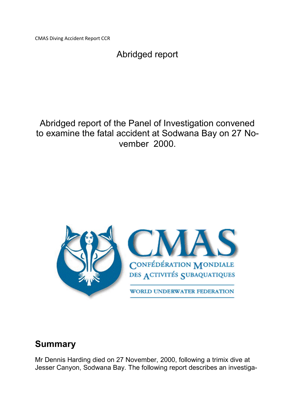CMAS Diving Accident Report CCR

# Abridged report

Abridged report of the Panel of Investigation convened to examine the fatal accident at Sodwana Bay on 27 November 2000.



# **Summary**

Mr Dennis Harding died on 27 November, 2000, following a trimix dive at Jesser Canyon, Sodwana Bay. The following report describes an investiga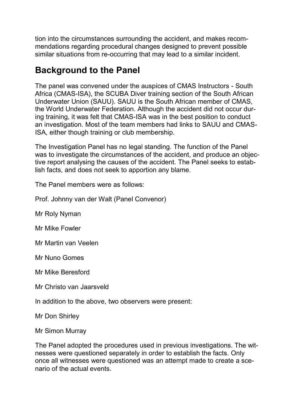tion into the circumstances surrounding the accident, and makes recommendations regarding procedural changes designed to prevent possible similar situations from re-occurring that may lead to a similar incident.

# **Background to the Panel**

The panel was convened under the auspices of CMAS Instructors - South Africa (CMAS-ISA), the SCUBA Diver training section of the South African Underwater Union (SAUU). SAUU is the South African member of CMAS, the World Underwater Federation. Although the accident did not occur during training, it was felt that CMAS-ISA was in the best position to conduct an investigation. Most of the team members had links to SAUU and CMAS-ISA, either though training or club membership.

The Investigation Panel has no legal standing. The function of the Panel was to investigate the circumstances of the accident, and produce an objective report analysing the causes of the accident. The Panel seeks to establish facts, and does not seek to apportion any blame.

The Panel members were as follows:

Prof. Johnny van der Walt (Panel Convenor)

Mr Roly Nyman

Mr Mike Fowler

Mr Martin van Veelen

Mr Nuno Gomes

Mr Mike Beresford

Mr Christo van Jaarsveld

In addition to the above, two observers were present:

Mr Don Shirley

Mr Simon Murray

The Panel adopted the procedures used in previous investigations. The witnesses were questioned separately in order to establish the facts. Only once all witnesses were questioned was an attempt made to create a scenario of the actual events.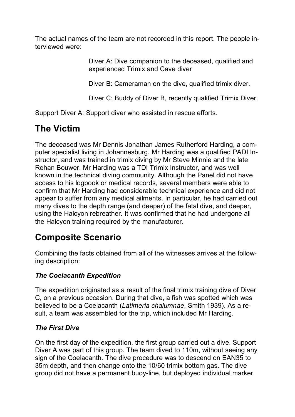The actual names of the team are not recorded in this report. The people interviewed were:

> Diver A: Dive companion to the deceased, qualified and experienced Trimix and Cave diver

Diver B: Cameraman on the dive, qualified trimix diver.

Diver C: Buddy of Diver B, recently qualified Trimix Diver.

Support Diver A: Support diver who assisted in rescue efforts.

# **The Victim**

The deceased was Mr Dennis Jonathan James Rutherford Harding, a computer specialist living in Johannesburg. Mr Harding was a qualified PADI Instructor, and was trained in trimix diving by Mr Steve Minnie and the late Rehan Bouwer. Mr Harding was a TDI Trimix Instructor, and was well known in the technical diving community. Although the Panel did not have access to his logbook or medical records, several members were able to confirm that Mr Harding had considerable technical experience and did not appear to suffer from any medical ailments. In particular, he had carried out many dives to the depth range (and deeper) of the fatal dive, and deeper, using the Halcyon rebreather. It was confirmed that he had undergone all the Halcyon training required by the manufacturer.

# **Composite Scenario**

Combining the facts obtained from all of the witnesses arrives at the following description:

## *The Coelacanth Expedition*

The expedition originated as a result of the final trimix training dive of Diver C, on a previous occasion. During that dive, a fish was spotted which was believed to be a Coelacanth (*Latimeria chalumnae*, Smith 1939). As a result, a team was assembled for the trip, which included Mr Harding.

## *The First Dive*

On the first day of the expedition, the first group carried out a dive. Support Diver A was part of this group. The team dived to 110m, without seeing any sign of the Coelacanth. The dive procedure was to descend on EAN35 to 35m depth, and then change onto the 10/60 trimix bottom gas. The dive group did not have a permanent buoy-line, but deployed individual marker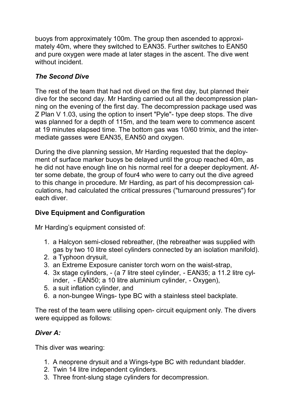buoys from approximately 100m. The group then ascended to approximately 40m, where they switched to EAN35. Further switches to EAN50 and pure oxygen were made at later stages in the ascent. The dive went without incident.

## *The Second Dive*

The rest of the team that had not dived on the first day, but planned their dive for the second day. Mr Harding carried out all the decompression planning on the evening of the first day. The decompression package used was Z Plan V 1.03, using the option to insert "Pyle"- type deep stops. The dive was planned for a depth of 115m, and the team were to commence ascent at 19 minutes elapsed time. The bottom gas was 10/60 trimix, and the intermediate gasses were EAN35, EAN50 and oxygen.

During the dive planning session, Mr Harding requested that the deployment of surface marker buoys be delayed until the group reached 40m, as he did not have enough line on his normal reel for a deeper deployment. After some debate, the group of four4 who were to carry out the dive agreed to this change in procedure. Mr Harding, as part of his decompression calculations, had calculated the critical pressures ("turnaround pressures") for each diver.

## **Dive Equipment and Configuration**

Mr Harding's equipment consisted of:

- 1. a Halcyon semi-closed rebreather, (the rebreather was supplied with gas by two 10 litre steel cylinders connected by an isolation manifold).
- 2. a Typhoon drysuit,
- 3. an Extreme Exposure canister torch worn on the waist-strap,
- 4. 3x stage cylinders, (a 7 litre steel cylinder, EAN35; a 11.2 litre cylinder. - EAN50; a 10 litre aluminium cylinder. - Oxygen).
- 5. a suit inflation cylinder, and
- 6. a non-bungee Wings- type BC with a stainless steel backplate.

The rest of the team were utilising open- circuit equipment only. The divers were equipped as follows:

## *Diver A:*

This diver was wearing:

- 1. A neoprene drysuit and a Wings-type BC with redundant bladder.
- 2. Twin 14 litre independent cylinders.
- 3. Three front-slung stage cylinders for decompression.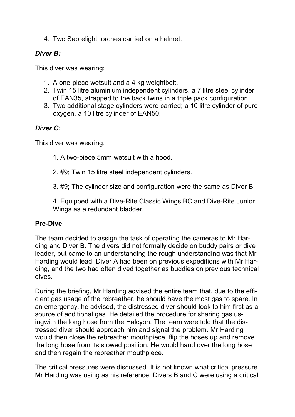4. Two Sabrelight torches carried on a helmet.

## *Diver B:*

This diver was wearing:

- 1. A one-piece wetsuit and a 4 kg weightbelt.
- 2. Twin 15 litre aluminium independent cylinders, a 7 litre steel cylinder of EAN35, strapped to the back twins in a triple pack configuration.
- 3. Two additional stage cylinders were carried; a 10 litre cylinder of pure oxygen, a 10 litre cylinder of EAN50.

## *Diver C:*

This diver was wearing:

- 1. A two-piece 5mm wetsuit with a hood.
- 2. #9; Twin 15 litre steel independent cylinders.
- 3. #9; The cylinder size and configuration were the same as Diver B.

4. Equipped with a Dive-Rite Classic Wings BC and Dive-Rite Junior Wings as a redundant bladder.

## **Pre-Dive**

The team decided to assign the task of operating the cameras to Mr Harding and Diver B. The divers did not formally decide on buddy pairs or dive leader, but came to an understanding the rough understanding was that Mr Harding would lead. Diver A had been on previous expeditions with Mr Harding, and the two had often dived together as buddies on previous technical dives.

During the briefing, Mr Harding advised the entire team that, due to the efficient gas usage of the rebreather, he should have the most gas to spare. In an emergency, he advised, the distressed diver should look to him first as a source of additional gas. He detailed the procedure for sharing gas usingwith the long hose from the Halcyon. The team were told that the distressed diver should approach him and signal the problem. Mr Harding would then close the rebreather mouthpiece, flip the hoses up and remove the long hose from its stowed position. He would hand over the long hose and then regain the rebreather mouthpiece.

The critical pressures were discussed. It is not known what critical pressure Mr Harding was using as his reference. Divers B and C were using a critical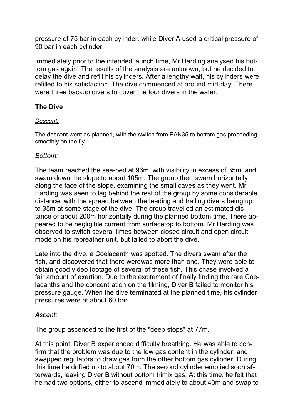pressure of 75 bar in each cylinder, while Diver A used a critical pressure of 90 bar in each cylinder.

Immediately prior to the intended launch time, Mr Harding analysed his bottom gas again. The results of the analysis are unknown, but he decided to delay the dive and refill his cylinders. After a lengthy wait, his cylinders were refilled to his satisfaction. The dive commenced at around mid-day. There were three backup divers to cover the four divers in the water.

## **The Dive**

### *Descent:*

The descent went as planned, with the switch from EAN35 to bottom gas proceeding smoothly on the fly.

## *Bottom:*

The team reached the sea-bed at 96m, with visibility in excess of 35m, and swam down the slope to about 105m. The group then swam horizontally along the face of the slope, examining the small caves as they went. Mr Harding was seen to lag behind the rest of the group by some considerable distance, with the spread between the leading and trailing divers being up to 35m at some stage of the dive. The group travelled an estimated distance of about 200m horizontally during the planned bottom time. There appeared to be negligible current from surfacetop to bottom. Mr Harding was observed to switch several times between closed circuit and open circuit mode on his rebreather unit, but failed to abort the dive.

Late into the dive, a Coelacanth was spotted. The divers swam after the fish, and discovered that there werewas more than one. They were able to obtain good video footage of several of these fish. This chase involved a fair amount of exertion. Due to the excitement of finally finding the rare Coelacanths and the concentration on the filming, Diver B failed to monitor his pressure gauge. When the dive terminated at the planned time, his cylinder pressures were at about 60 bar.

## *Ascent:*

The group ascended to the first of the "deep stops" at 77m.

At this point, Diver B experienced difficulty breathing. He was able to confirm that the problem was due to the low gas content in the cylinder, and swapped regulators to draw gas from the other bottom gas cylinder. During this time he drifted up to about 70m. The second cylinder emptied soon afterwards, leaving Diver B without bottom trimix gas. At this time, he felt that he had two options, either to ascend immediately to about 40m and swap to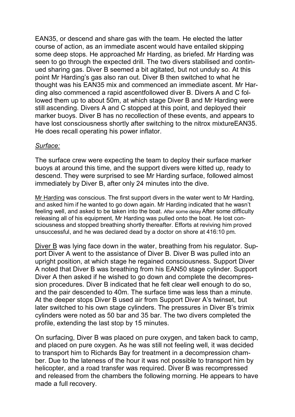EAN35, or descend and share gas with the team. He elected the latter course of action, as an immediate ascent would have entailed skipping some deep stops. He approached Mr Harding, as briefed. Mr Harding was seen to go through the expected drill. The two divers stabilised and continued sharing gas. Diver B seemed a bit agitated, but not unduly so. At this point Mr Harding's gas also ran out. Diver B then switched to what he thought was his EAN35 mix and commenced an immediate ascent. Mr Harding also commenced a rapid ascentfollowed diver B. Divers A and C followed them up to about 50m, at which stage Diver B and Mr Harding were still ascending. Divers A and C stopped at this point, and deployed their marker buoys. Diver B has no recollection of these events, and appears to have lost consciousness shortly after switching to the nitrox mixtureEAN35. He does recall operating his power inflator.

#### *Surface:*

The surface crew were expecting the team to deploy their surface marker buoys at around this time, and the support divers were kitted up, ready to descend. They were surprised to see Mr Harding surface, followed almost immediately by Diver B, after only 24 minutes into the dive.

Mr Harding was conscious. The first support divers in the water went to Mr Harding, and asked him if he wanted to go down again. Mr Harding indicated that he wasn't feeling well, and asked to be taken into the boat. After some delay After some difficulty releasing all of his equipment, Mr Harding was pulled onto the boat. He lost consciousness and stopped breathing shortly thereafter. Efforts at reviving him proved unsuccessful, and he was declared dead by a doctor on shore at 416:10 pm.

Diver B was lying face down in the water, breathing from his regulator. Support Diver A went to the assistance of Diver B. Diver B was pulled into an upright position, at which stage he regained consciousness. Support Diver A noted that Diver B was breathing from his EAN50 stage cylinder. Support Diver A then asked if he wished to go down and complete the decompression procedures. Diver B indicated that he felt clear well enough to do so, and the pair descended to 40m. The surface time was less than a minute. At the deeper stops Diver B used air from Support Diver A's twinset, but later switched to his own stage cylinders. The pressures in Diver B's trimix cylinders were noted as 50 bar and 35 bar. The two divers completed the profile, extending the last stop by 15 minutes.

On surfacing, Diver B was placed on pure oxygen, and taken back to camp, and placed on pure oxygen. As he was still not feeling well, it was decided to transport him to Richards Bay for treatment in a decompression chamber. Due to the lateness of the hour it was not possible to transport him by helicopter, and a road transfer was required. Diver B was recompressed and released from the chambers the following morning. He appears to have made a full recovery.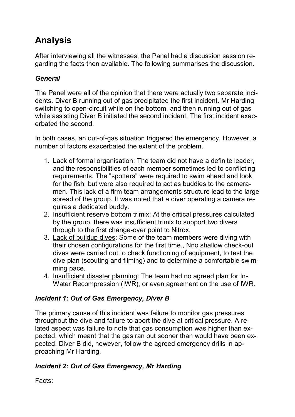# **Analysis**

After interviewing all the witnesses, the Panel had a discussion session regarding the facts then available. The following summarises the discussion.

## *General*

The Panel were all of the opinion that there were actually two separate incidents. Diver B running out of gas precipitated the first incident. Mr Harding switching to open-circuit while on the bottom, and then running out of gas while assisting Diver B initiated the second incident. The first incident exacerbated the second.

In both cases, an out-of-gas situation triggered the emergency. However, a number of factors exacerbated the extent of the problem.

- 1. Lack of formal organisation: The team did not have a definite leader, and the responsibilities of each member sometimes led to conflicting requirements. The "spotters" were required to swim ahead and look for the fish, but were also required to act as buddies to the cameramen. This lack of a firm team arrangements structure lead to the large spread of the group. It was noted that a diver operating a camera requires a dedicated buddy.
- 2. Insufficient reserve bottom trimix: At the critical pressures calculated by the group, there was insufficient trimix to support two divers through to the first change-over point to Nitrox.
- 3. Lack of buildup dives: Some of the team members were diving with their chosen configurations for the first time., Nno shallow check-out dives were carried out to check functioning of equipment, to test the dive plan (scouting and filming) and to determine a comfortable swimming pace.
- 4. Insufficient disaster planning: The team had no agreed plan for In-Water Recompression (IWR), or even agreement on the use of IWR.

## *Incident 1: Out of Gas Emergency, Diver B*

The primary cause of this incident was failure to monitor gas pressures throughout the dive and failure to abort the dive at critical pressure. A related aspect was failure to note that gas consumption was higher than expected, which meant that the gas ran out sooner than would have been expected. Diver B did, however, follow the agreed emergency drills in approaching Mr Harding.

## *Incident 2: Out of Gas Emergency, Mr Harding*

Facts: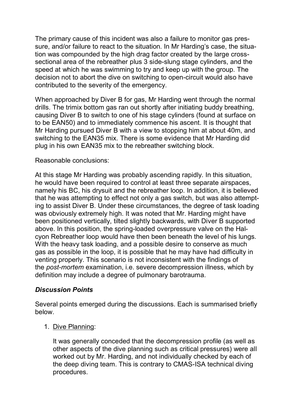The primary cause of this incident was also a failure to monitor gas pressure, and/or failure to react to the situation. In Mr Harding's case, the situation was compounded by the high drag factor created by the large crosssectional area of the rebreather plus 3 side-slung stage cylinders, and the speed at which he was swimming to try and keep up with the group. The decision not to abort the dive on switching to open-circuit would also have contributed to the severity of the emergency.

When approached by Diver B for gas, Mr Harding went through the normal drills. The trimix bottom gas ran out shortly after initiating buddy breathing, causing Diver B to switch to one of his stage cylinders (found at surface on to be EAN50) and to immediately commence his ascent. It is thought that Mr Harding pursued Diver B with a view to stopping him at about 40m, and switching to the EAN35 mix. There is some evidence that Mr Harding did plug in his own EAN35 mix to the rebreather switching block.

### Reasonable conclusions:

At this stage Mr Harding was probably ascending rapidly. In this situation, he would have been required to control at least three separate airspaces, namely his BC, his drysuit and the rebreather loop. In addition, it is believed that he was attempting to effect not only a gas switch, but was also attempting to assist Diver B. Under these circumstances, the degree of task loading was obviously extremely high. It was noted that Mr. Harding might have been positioned vertically, tilted slightly backwards, with Diver B supported above. In this position, the spring-loaded overpressure valve on the Halcyon Rebreather loop would have then been beneath the level of his lungs. With the heavy task loading, and a possible desire to conserve as much gas as possible in the loop, it is possible that he may have had difficulty in venting properly. This scenario is not inconsistent with the findings of the *post-mortem* examination, i.e. severe decompression illness, which by definition may include a degree of pulmonary barotrauma.

### *Discussion Points*

Several points emerged during the discussions. Each is summarised briefly below.

1. Dive Planning:

It was generally conceded that the decompression profile (as well as other aspects of the dive planning such as critical pressures) were all worked out by Mr. Harding, and not individually checked by each of the deep diving team. This is contrary to CMAS-ISA technical diving procedures.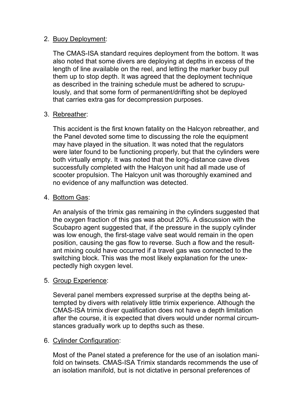### 2. Buoy Deployment:

The CMAS-ISA standard requires deployment from the bottom. It was also noted that some divers are deploying at depths in excess of the length of line available on the reel, and letting the marker buoy pull them up to stop depth. It was agreed that the deployment technique as described in the training schedule must be adhered to scrupulously, and that some form of permanent/drifting shot be deployed that carries extra gas for decompression purposes.

### 3. Rebreather:

This accident is the first known fatality on the Halcyon rebreather, and the Panel devoted some time to discussing the role the equipment may have played in the situation. It was noted that the regulators were later found to be functioning properly, but that the cylinders were both virtually empty. It was noted that the long-distance cave dives successfully completed with the Halcyon unit had all made use of scooter propulsion. The Halcyon unit was thoroughly examined and no evidence of any malfunction was detected.

### 4. Bottom Gas:

An analysis of the trimix gas remaining in the cylinders suggested that the oxygen fraction of this gas was about 20%. A discussion with the Scubapro agent suggested that, if the pressure in the supply cylinder was low enough, the first-stage valve seat would remain in the open position, causing the gas flow to reverse. Such a flow and the resultant mixing could have occurred if a travel gas was connected to the switching block. This was the most likely explanation for the unexpectedly high oxygen level.

## 5. Group Experience:

Several panel members expressed surprise at the depths being attempted by divers with relatively little trimix experience. Although the CMAS-ISA trimix diver qualification does not have a depth limitation after the course, it is expected that divers would under normal circumstances gradually work up to depths such as these.

### 6. Cylinder Configuration:

Most of the Panel stated a preference for the use of an isolation manifold on twinsets. CMAS-ISA Trimix standards recommends the use of an isolation manifold, but is not dictative in personal preferences of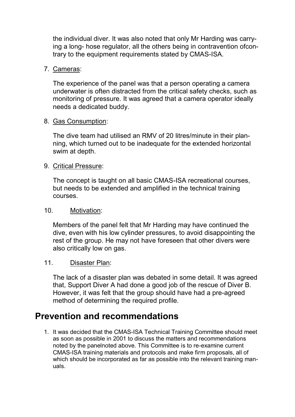the individual diver. It was also noted that only Mr Harding was carrying a long- hose regulator, all the others being in contravention ofcontrary to the equipment requirements stated by CMAS-ISA.

### 7. Cameras:

The experience of the panel was that a person operating a camera underwater is often distracted from the critical safety checks, such as monitoring of pressure. It was agreed that a camera operator ideally needs a dedicated buddy.

#### 8. Gas Consumption:

The dive team had utilised an RMV of 20 litres/minute in their planning, which turned out to be inadequate for the extended horizontal swim at depth.

#### 9. Critical Pressure:

The concept is taught on all basic CMAS-ISA recreational courses, but needs to be extended and amplified in the technical training courses.

#### 10. Motivation:

Members of the panel felt that Mr Harding may have continued the dive, even with his low cylinder pressures, to avoid disappointing the rest of the group. He may not have foreseen that other divers were also critically low on gas.

### 11. Disaster Plan:

The lack of a disaster plan was debated in some detail. It was agreed that, Support Diver A had done a good job of the rescue of Diver B. However, it was felt that the group should have had a pre-agreed method of determining the required profile.

# **Prevention and recommendations**

1. It was decided that the CMAS-ISA Technical Training Committee should meet as soon as possible in 2001 to discuss the matters and recommendations noted by the panelnoted above. This Committee is to re-examine current CMAS-ISA training materials and protocols and make firm proposals, all of which should be incorporated as far as possible into the relevant training manuals.